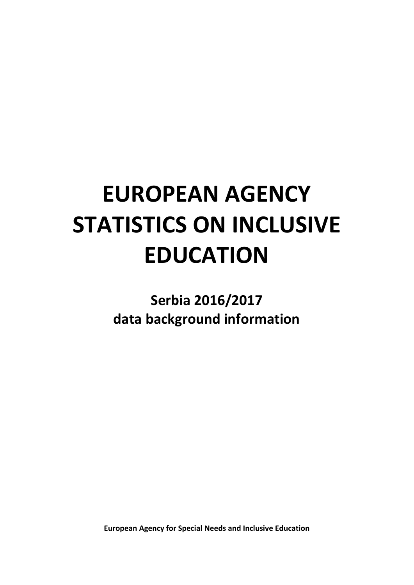# **EUROPEAN AGENCY STATISTICS ON INCLUSIVE EDUCATION**

# **Serbia 2016/2017 data background information**

**European Agency for Special Needs and Inclusive Education**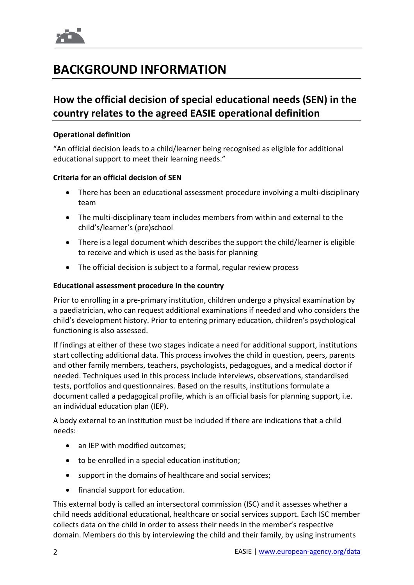

# **BACKGROUND INFORMATION**

# **How the official decision of special educational needs (SEN) in the country relates to the agreed EASIE operational definition**

#### **Operational definition**

"An official decision leads to a child/learner being recognised as eligible for additional educational support to meet their learning needs."

#### **Criteria for an official decision of SEN**

- There has been an educational assessment procedure involving a multi-disciplinary team
- The multi-disciplinary team includes members from within and external to the child's/learner's (pre)school
- There is a legal document which describes the support the child/learner is eligible to receive and which is used as the basis for planning
- The official decision is subject to a formal, regular review process

#### **Educational assessment procedure in the country**

Prior to enrolling in a pre-primary institution, children undergo a physical examination by a paediatrician, who can request additional examinations if needed and who considers the child's development history. Prior to entering primary education, children's psychological functioning is also assessed.

If findings at either of these two stages indicate a need for additional support, institutions start collecting additional data. This process involves the child in question, peers, parents and other family members, teachers, psychologists, pedagogues, and a medical doctor if needed. Techniques used in this process include interviews, observations, standardised tests, portfolios and questionnaires. Based on the results, institutions formulate a document called a pedagogical profile, which is an official basis for planning support, i.e. an individual education plan (IEP).

A body external to an institution must be included if there are indications that a child needs:

- an IEP with modified outcomes:
- to be enrolled in a special education institution;
- support in the domains of healthcare and social services;
- financial support for education.

This external body is called an intersectoral commission (ISC) and it assesses whether a child needs additional educational, healthcare or social services support. Each ISC member collects data on the child in order to assess their needs in the member's respective domain. Members do this by interviewing the child and their family, by using instruments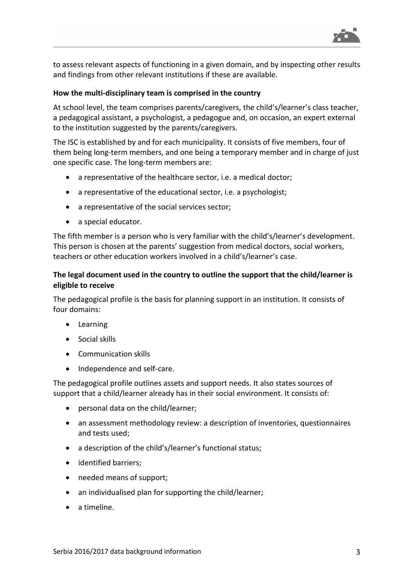

to assess relevant aspects of functioning in a given domain, and by inspecting other results and findings from other relevant institutions if these are available.

#### **How the multi-disciplinary team is comprised in the country**

At school level, the team comprises parents/caregivers, the child's/learner's class teacher, a pedagogical assistant, a psychologist, a pedagogue and, on occasion, an expert external to the institution suggested by the parents/caregivers.

The ISC is established by and for each municipality. It consists of five members, four of them being long-term members, and one being a temporary member and in charge of just one specific case. The long-term members are:

- a representative of the healthcare sector, i.e. a medical doctor;
- a representative of the educational sector, i.e. a psychologist;
- a representative of the social services sector;
- a special educator.

The fifth member is a person who is very familiar with the child's/learner's development. This person is chosen at the parents' suggestion from medical doctors, social workers, teachers or other education workers involved in a child's/learner's case.

#### **The legal document used in the country to outline the support that the child/learner is eligible to receive**

The pedagogical profile is the basis for planning support in an institution. It consists of four domains:

- Learning
- Social skills
- Communication skills
- Independence and self-care.

The pedagogical profile outlines assets and support needs. It also states sources of support that a child/learner already has in their social environment. It consists of:

- personal data on the child/learner;
- an assessment methodology review: a description of inventories, questionnaires and tests used;
- a description of the child's/learner's functional status;
- identified barriers;
- needed means of support;
- an individualised plan for supporting the child/learner;
- a timeline.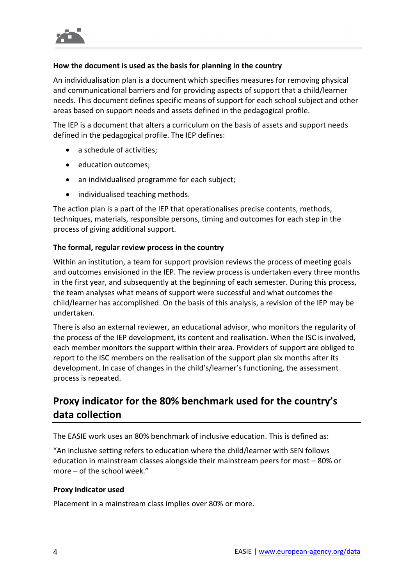

#### **How the document is used as the basis for planning in the country**

An individualisation plan is a document which specifies measures for removing physical and communicational barriers and for providing aspects of support that a child/learner needs. This document defines specific means of support for each school subject and other areas based on support needs and assets defined in the pedagogical profile.

The IEP is a document that alters a curriculum on the basis of assets and support needs defined in the pedagogical profile. The IEP defines:

- a schedule of activities;
- education outcomes;
- an individualised programme for each subject;
- individualised teaching methods.

The action plan is a part of the IEP that operationalises precise contents, methods, techniques, materials, responsible persons, timing and outcomes for each step in the process of giving additional support.

#### **The formal, regular review process in the country**

Within an institution, a team for support provision reviews the process of meeting goals and outcomes envisioned in the IEP. The review process is undertaken every three months in the first year, and subsequently at the beginning of each semester. During this process, the team analyses what means of support were successful and what outcomes the child/learner has accomplished. On the basis of this analysis, a revision of the IEP may be undertaken.

There is also an external reviewer, an educational advisor, who monitors the regularity of the process of the IEP development, its content and realisation. When the ISC is involved, each member monitors the support within their area. Providers of support are obliged to report to the ISC members on the realisation of the support plan six months after its development. In case of changes in the child's/learner's functioning, the assessment process is repeated.

## **Proxy indicator for the 80% benchmark used for the country's data collection**

The EASIE work uses an 80% benchmark of inclusive education. This is defined as:

"An inclusive setting refers to education where the child/learner with SEN follows education in mainstream classes alongside their mainstream peers for most – 80% or more – of the school week."

#### **Proxy indicator used**

Placement in a mainstream class implies over 80% or more.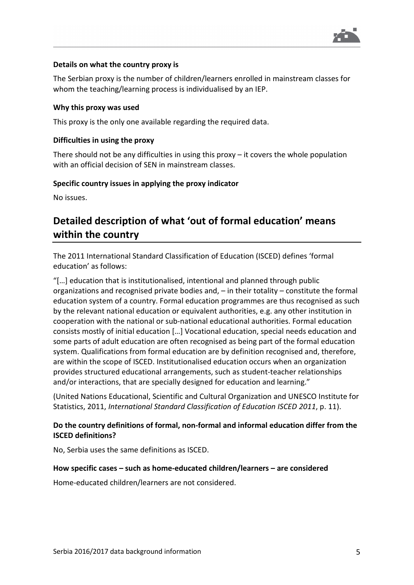

#### **Details on what the country proxy is**

The Serbian proxy is the number of children/learners enrolled in mainstream classes for whom the teaching/learning process is individualised by an IEP.

#### **Why this proxy was used**

This proxy is the only one available regarding the required data.

#### **Difficulties in using the proxy**

There should not be any difficulties in using this proxy – it covers the whole population with an official decision of SEN in mainstream classes.

#### **Specific country issues in applying the proxy indicator**

No issues.

# **Detailed description of what 'out of formal education' means within the country**

The 2011 International Standard Classification of Education (ISCED) defines 'formal education' as follows:

"[…] education that is institutionalised, intentional and planned through public organizations and recognised private bodies and, – in their totality – constitute the formal education system of a country. Formal education programmes are thus recognised as such by the relevant national education or equivalent authorities, e.g. any other institution in cooperation with the national or sub-national educational authorities. Formal education consists mostly of initial education […] Vocational education, special needs education and some parts of adult education are often recognised as being part of the formal education system. Qualifications from formal education are by definition recognised and, therefore, are within the scope of ISCED. Institutionalised education occurs when an organization provides structured educational arrangements, such as student-teacher relationships and/or interactions, that are specially designed for education and learning."

(United Nations Educational, Scientific and Cultural Organization and UNESCO Institute for Statistics, 2011, *International Standard Classification of Education ISCED 2011*, p. 11).

#### **Do the country definitions of formal, non-formal and informal education differ from the ISCED definitions?**

No, Serbia uses the same definitions as ISCED.

#### **How specific cases – such as home-educated children/learners – are considered**

Home-educated children/learners are not considered.